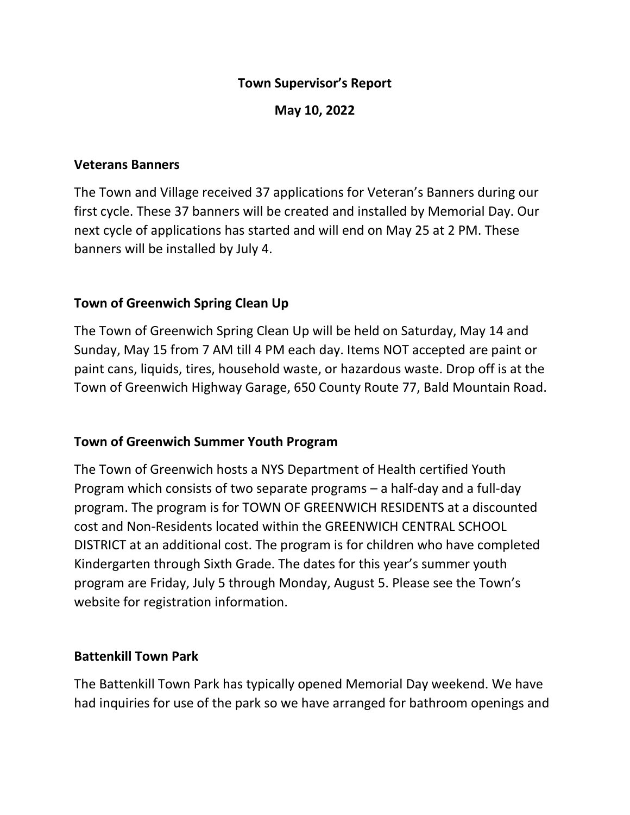#### **Town Supervisor's Report**

**May 10, 2022**

#### **Veterans Banners**

The Town and Village received 37 applications for Veteran's Banners during our first cycle. These 37 banners will be created and installed by Memorial Day. Our next cycle of applications has started and will end on May 25 at 2 PM. These banners will be installed by July 4.

### **Town of Greenwich Spring Clean Up**

The Town of Greenwich Spring Clean Up will be held on Saturday, May 14 and Sunday, May 15 from 7 AM till 4 PM each day. Items NOT accepted are paint or paint cans, liquids, tires, household waste, or hazardous waste. Drop off is at the Town of Greenwich Highway Garage, 650 County Route 77, Bald Mountain Road.

### **Town of Greenwich Summer Youth Program**

The Town of Greenwich hosts a NYS Department of Health certified Youth Program which consists of two separate programs – a half-day and a full-day program. The program is for TOWN OF GREENWICH RESIDENTS at a discounted cost and Non-Residents located within the GREENWICH CENTRAL SCHOOL DISTRICT at an additional cost. The program is for children who have completed Kindergarten through Sixth Grade. The dates for this year's summer youth program are Friday, July 5 through Monday, August 5. Please see the Town's website for registration information.

### **Battenkill Town Park**

The Battenkill Town Park has typically opened Memorial Day weekend. We have had inquiries for use of the park so we have arranged for bathroom openings and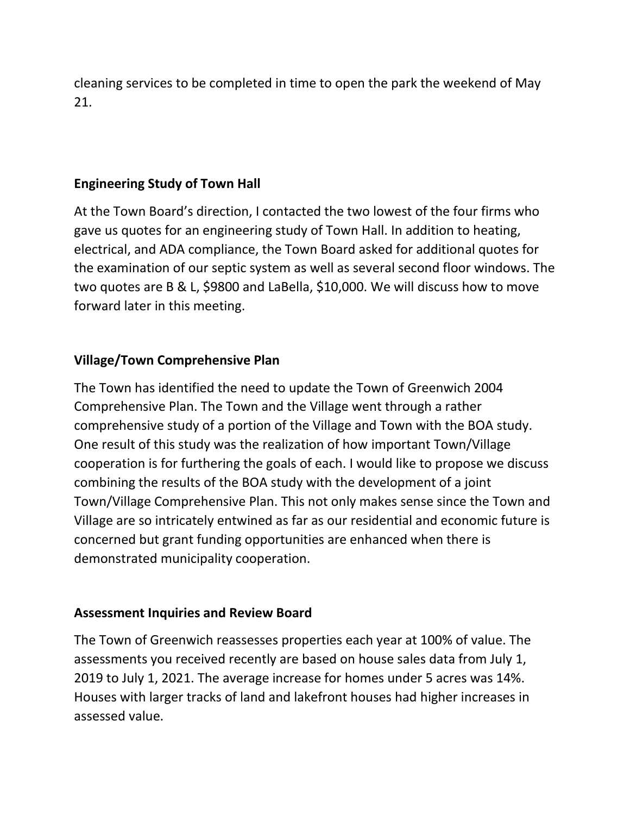cleaning services to be completed in time to open the park the weekend of May 21.

### **Engineering Study of Town Hall**

At the Town Board's direction, I contacted the two lowest of the four firms who gave us quotes for an engineering study of Town Hall. In addition to heating, electrical, and ADA compliance, the Town Board asked for additional quotes for the examination of our septic system as well as several second floor windows. The two quotes are B & L, \$9800 and LaBella, \$10,000. We will discuss how to move forward later in this meeting.

## **Village/Town Comprehensive Plan**

The Town has identified the need to update the Town of Greenwich 2004 Comprehensive Plan. The Town and the Village went through a rather comprehensive study of a portion of the Village and Town with the BOA study. One result of this study was the realization of how important Town/Village cooperation is for furthering the goals of each. I would like to propose we discuss combining the results of the BOA study with the development of a joint Town/Village Comprehensive Plan. This not only makes sense since the Town and Village are so intricately entwined as far as our residential and economic future is concerned but grant funding opportunities are enhanced when there is demonstrated municipality cooperation.

### **Assessment Inquiries and Review Board**

The Town of Greenwich reassesses properties each year at 100% of value. The assessments you received recently are based on house sales data from July 1, 2019 to July 1, 2021. The average increase for homes under 5 acres was 14%. Houses with larger tracks of land and lakefront houses had higher increases in assessed value.